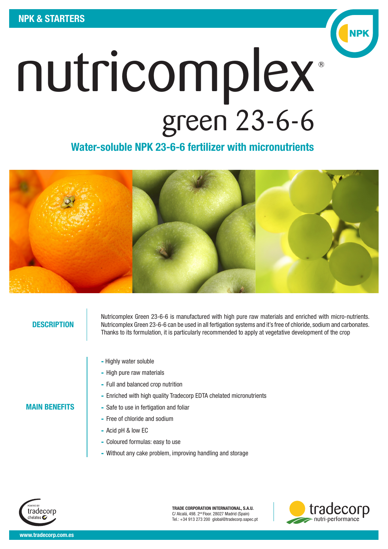

## Water-soluble NPK 23-6-6 fertilizer with micronutrients



#### **DESCRIPTION**

MAIN BENEFITS

Nutricomplex Green 23-6-6 is manufactured with high pure raw materials and enriched with micro-nutrients. Nutricomplex Green 23-6-6 can be used in all fertigation systems and it's free of chloride, sodium and carbonates. Thanks to its formulation, it is particularly recommended to apply at vegetative development of the crop

- Highly water soluble
- High pure raw materials
- Full and balanced crop nutrition
- Enriched with high quality Tradecorp EDTA chelated micronutrients
- Safe to use in fertigation and foliar
- Free of chloride and sodium
- Acid pH & low EC
- Coloured formulas: easy to use
- Without any cake problem, improving handling and storage



TRADE CORPORATION INTERNATIONAL, S.A.U. C/ Alcalá, 498. 2nd Floor. 28027 Madrid (Spain) Tel.: +34 913 273 200 global@tradecorp.sapec.pt